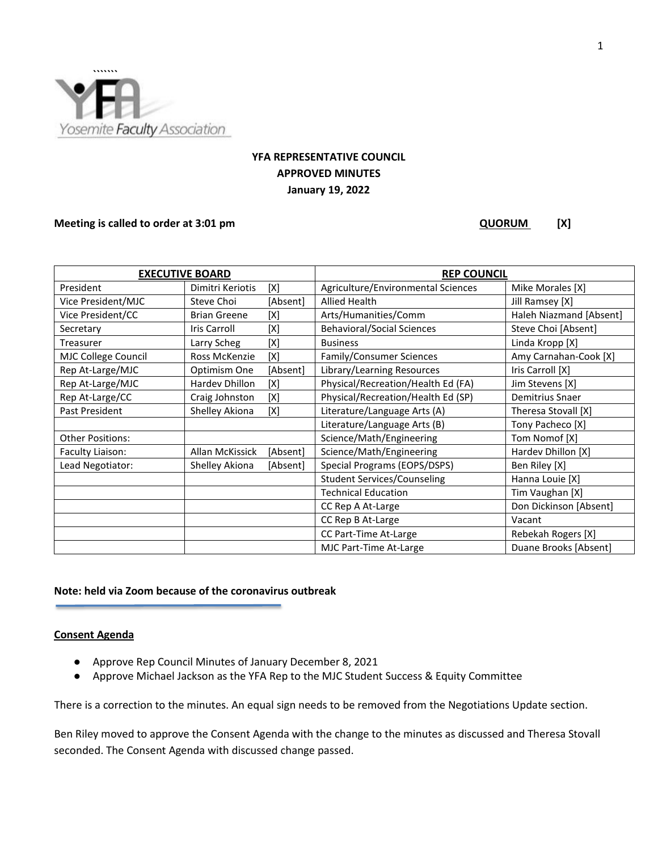

# **YFA REPRESENTATIVE COUNCIL APPROVED MINUTES January 19, 2022**

#### **Meeting is called to order at 3:01 pm QUORUM** [X]

| <b>EXECUTIVE BOARD</b>  |                       |          | <b>REP COUNCIL</b>                 |                         |
|-------------------------|-----------------------|----------|------------------------------------|-------------------------|
| President               | Dimitri Keriotis      | [X]      | Agriculture/Environmental Sciences | Mike Morales [X]        |
| Vice President/MJC      | Steve Choi            | [Absent] | Allied Health                      | Jill Ramsey [X]         |
| Vice President/CC       | <b>Brian Greene</b>   | [X]      | Arts/Humanities/Comm               | Haleh Niazmand [Absent] |
| Secretary               | <b>Iris Carroll</b>   | [X]      | <b>Behavioral/Social Sciences</b>  | Steve Choi [Absent]     |
| Treasurer               | Larry Scheg           | [X]      | <b>Business</b>                    | Linda Kropp [X]         |
| MJC College Council     | Ross McKenzie         | [X]      | Family/Consumer Sciences           | Amy Carnahan-Cook [X]   |
| Rep At-Large/MJC        | Optimism One          | [Absent] | Library/Learning Resources         | Iris Carroll [X]        |
| Rep At-Large/MJC        | <b>Hardev Dhillon</b> | [X]      | Physical/Recreation/Health Ed (FA) | Jim Stevens [X]         |
| Rep At-Large/CC         | Craig Johnston        | [X]      | Physical/Recreation/Health Ed (SP) | Demitrius Snaer         |
| Past President          | Shelley Akiona        | [X]      | Literature/Language Arts (A)       | Theresa Stovall [X]     |
|                         |                       |          | Literature/Language Arts (B)       | Tony Pacheco [X]        |
| <b>Other Positions:</b> |                       |          | Science/Math/Engineering           | Tom Nomof [X]           |
| Faculty Liaison:        | Allan McKissick       | [Absent] | Science/Math/Engineering           | Hardev Dhillon [X]      |
| Lead Negotiator:        | Shelley Akiona        | [Absent] | Special Programs (EOPS/DSPS)       | Ben Riley [X]           |
|                         |                       |          | <b>Student Services/Counseling</b> | Hanna Louie [X]         |
|                         |                       |          | <b>Technical Education</b>         | Tim Vaughan [X]         |
|                         |                       |          | CC Rep A At-Large                  | Don Dickinson [Absent]  |
|                         |                       |          | CC Rep B At-Large                  | Vacant                  |
|                         |                       |          | CC Part-Time At-Large              | Rebekah Rogers [X]      |
|                         |                       |          | MJC Part-Time At-Large             | Duane Brooks [Absent]   |

# **Note: held via Zoom because of the coronavirus outbreak**

### **Consent Agenda**

- Approve Rep Council Minutes of January December 8, 2021
- Approve Michael Jackson as the YFA Rep to the MJC Student Success & Equity Committee

There is a correction to the minutes. An equal sign needs to be removed from the Negotiations Update section.

Ben Riley moved to approve the Consent Agenda with the change to the minutes as discussed and Theresa Stovall seconded. The Consent Agenda with discussed change passed.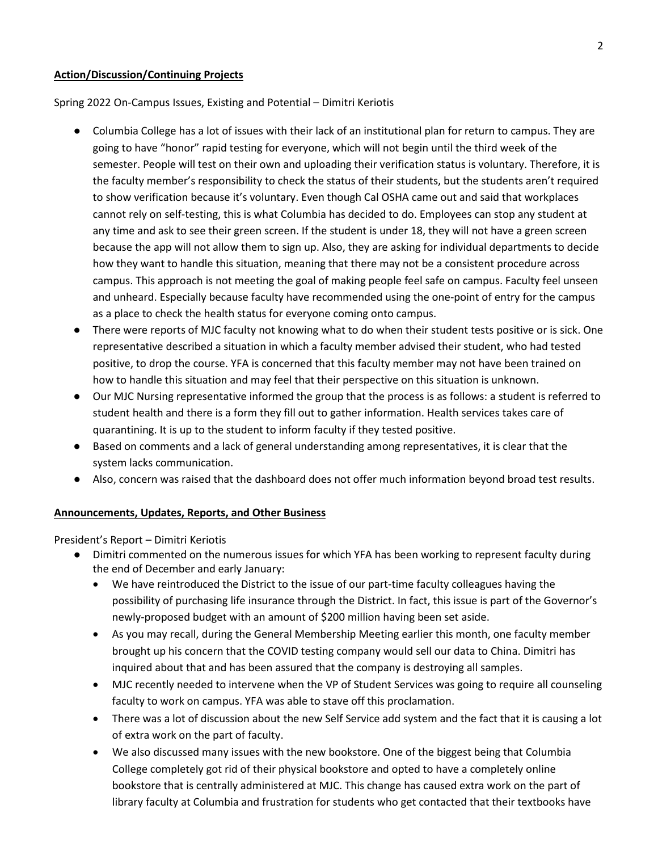#### **Action/Discussion/Continuing Projects**

Spring 2022 On-Campus Issues, Existing and Potential – Dimitri Keriotis

- Columbia College has a lot of issues with their lack of an institutional plan for return to campus. They are going to have "honor" rapid testing for everyone, which will not begin until the third week of the semester. People will test on their own and uploading their verification status is voluntary. Therefore, it is the faculty member's responsibility to check the status of their students, but the students aren't required to show verification because it's voluntary. Even though Cal OSHA came out and said that workplaces cannot rely on self-testing, this is what Columbia has decided to do. Employees can stop any student at any time and ask to see their green screen. If the student is under 18, they will not have a green screen because the app will not allow them to sign up. Also, they are asking for individual departments to decide how they want to handle this situation, meaning that there may not be a consistent procedure across campus. This approach is not meeting the goal of making people feel safe on campus. Faculty feel unseen and unheard. Especially because faculty have recommended using the one-point of entry for the campus as a place to check the health status for everyone coming onto campus.
- There were reports of MJC faculty not knowing what to do when their student tests positive or is sick. One representative described a situation in which a faculty member advised their student, who had tested positive, to drop the course. YFA is concerned that this faculty member may not have been trained on how to handle this situation and may feel that their perspective on this situation is unknown.
- Our MJC Nursing representative informed the group that the process is as follows: a student is referred to student health and there is a form they fill out to gather information. Health services takes care of quarantining. It is up to the student to inform faculty if they tested positive.
- Based on comments and a lack of general understanding among representatives, it is clear that the system lacks communication.
- Also, concern was raised that the dashboard does not offer much information beyond broad test results.

# **Announcements, Updates, Reports, and Other Business**

President's Report – Dimitri Keriotis

- Dimitri commented on the numerous issues for which YFA has been working to represent faculty during the end of December and early January:
	- We have reintroduced the District to the issue of our part-time faculty colleagues having the possibility of purchasing life insurance through the District. In fact, this issue is part of the Governor's newly-proposed budget with an amount of \$200 million having been set aside.
	- As you may recall, during the General Membership Meeting earlier this month, one faculty member brought up his concern that the COVID testing company would sell our data to China. Dimitri has inquired about that and has been assured that the company is destroying all samples.
	- MJC recently needed to intervene when the VP of Student Services was going to require all counseling faculty to work on campus. YFA was able to stave off this proclamation.
	- There was a lot of discussion about the new Self Service add system and the fact that it is causing a lot of extra work on the part of faculty.
	- We also discussed many issues with the new bookstore. One of the biggest being that Columbia College completely got rid of their physical bookstore and opted to have a completely online bookstore that is centrally administered at MJC. This change has caused extra work on the part of library faculty at Columbia and frustration for students who get contacted that their textbooks have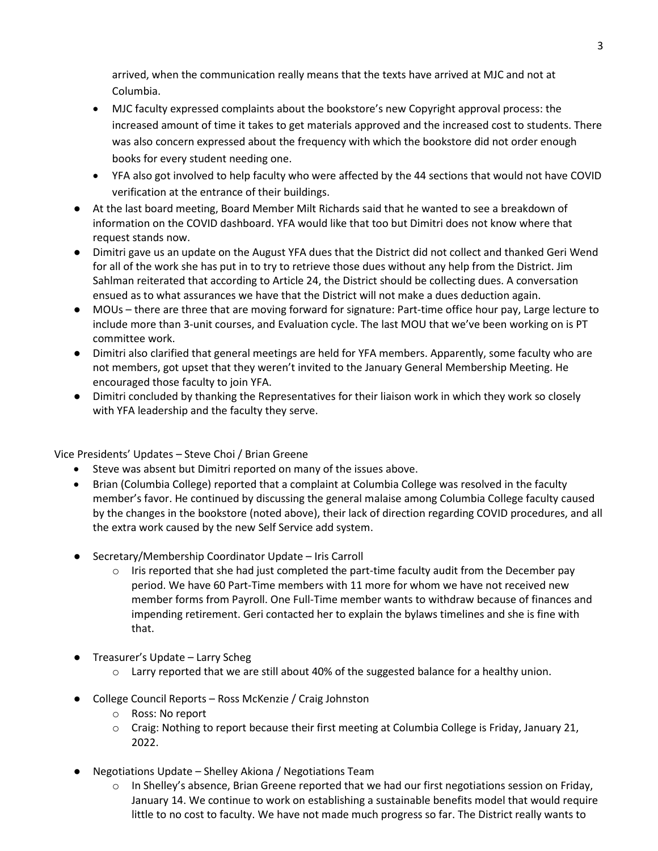arrived, when the communication really means that the texts have arrived at MJC and not at Columbia.

- MJC faculty expressed complaints about the bookstore's new Copyright approval process: the increased amount of time it takes to get materials approved and the increased cost to students. There was also concern expressed about the frequency with which the bookstore did not order enough books for every student needing one.
- YFA also got involved to help faculty who were affected by the 44 sections that would not have COVID verification at the entrance of their buildings.
- At the last board meeting, Board Member Milt Richards said that he wanted to see a breakdown of information on the COVID dashboard. YFA would like that too but Dimitri does not know where that request stands now.
- Dimitri gave us an update on the August YFA dues that the District did not collect and thanked Geri Wend for all of the work she has put in to try to retrieve those dues without any help from the District. Jim Sahlman reiterated that according to Article 24, the District should be collecting dues. A conversation ensued as to what assurances we have that the District will not make a dues deduction again.
- MOUs there are three that are moving forward for signature: Part-time office hour pay, Large lecture to include more than 3-unit courses, and Evaluation cycle. The last MOU that we've been working on is PT committee work.
- Dimitri also clarified that general meetings are held for YFA members. Apparently, some faculty who are not members, got upset that they weren't invited to the January General Membership Meeting. He encouraged those faculty to join YFA.
- Dimitri concluded by thanking the Representatives for their liaison work in which they work so closely with YFA leadership and the faculty they serve.

Vice Presidents' Updates – Steve Choi / Brian Greene

- Steve was absent but Dimitri reported on many of the issues above.
- Brian (Columbia College) reported that a complaint at Columbia College was resolved in the faculty member's favor. He continued by discussing the general malaise among Columbia College faculty caused by the changes in the bookstore (noted above), their lack of direction regarding COVID procedures, and all the extra work caused by the new Self Service add system.
- Secretary/Membership Coordinator Update Iris Carroll
	- $\circ$  Iris reported that she had just completed the part-time faculty audit from the December pay period. We have 60 Part-Time members with 11 more for whom we have not received new member forms from Payroll. One Full-Time member wants to withdraw because of finances and impending retirement. Geri contacted her to explain the bylaws timelines and she is fine with that.
- Treasurer's Update Larry Scheg
	- $\circ$  Larry reported that we are still about 40% of the suggested balance for a healthy union.
- College Council Reports Ross McKenzie / Craig Johnston
	- o Ross: No report
	- $\circ$  Craig: Nothing to report because their first meeting at Columbia College is Friday, January 21, 2022.
- Negotiations Update Shelley Akiona / Negotiations Team
	- o In Shelley's absence, Brian Greene reported that we had our first negotiations session on Friday, January 14. We continue to work on establishing a sustainable benefits model that would require little to no cost to faculty. We have not made much progress so far. The District really wants to